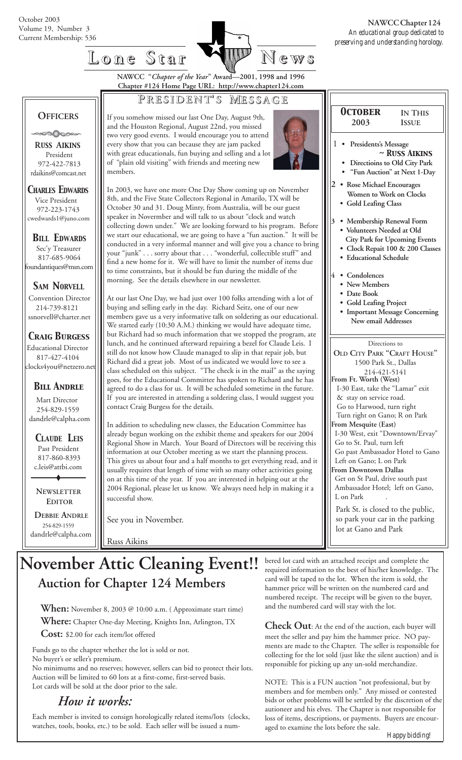volume 19, Number 5<br>Current Membership: 536 An educational group dedicated to  *preserving and understanding horology.*  **NAWCC Chapter 124**

> *October* **2003**

1 **• Presidents's Message**

**2 • Rose Michael Encourages Women to Work on Clocks**

 **• Gold Leafing Class**

 **• Educational Schedule**

 **• Gold Leafing Project**

**4 • Condolences • New Members • Date Book**

**IN THIS ISSUE**

*~ Russ Aikins*

 **• Directioins to Old City Park • "Fun Auction" at Next 1-Day**

**3 • Membership Renewal Form • Volunteers Needed at Old City Park for Upcoming Events • Clock Repait 100 & 200 Classes**

Directions to **OLD CITY PARK "CRAFT HOUSE"** 1500 Park St., Dallas 214-421-5141

**Important Message Concerning New email Addresses**

 I-30 East, take the "Lamar" exit & stay on service road. Go to Harwood, turn right Turn right on Gano; R on Park

I-30 West, exit "Downtown/Ervay"

Go past Ambassador Hotel to Gano

 Get on St Paul, drive south past Ambassador Hotel; left on Gano,

Park St. is closed to the public, so park your car in the parking

**From Ft. Worth (West)**

**From Mesquite (East)**

Go to St. Paul, turn left

 Left on Gano; L on Park **From Downtown Dallas**

lot at Gano and Park

# **Lone Star Lone Star News**

**NAWCC "***Chapter of the Year***" Award—2001, 1998 and 1996 Chapter #124 Home Page URL: http://www.chapter124.com**

#### **P RESIDENT RESIDENT' S M ESSAGE**

 **OFFICERS**

-000000

 **R***USS* **A***IKINS* President 972-422-7813 rdaikins@comcast.net

#### *CHARLES EDWARDS* Vice President

 972-223-1743 cwedwards1@juno.com

*BILL EDWARDS* Sec'y Treasurer 817-685-9064 foundantiques@msn.com

#### *SAM NORVELL*

Convention Director 214-739-8121 ssnorvell@charter.net

#### *Craig Burgess*

 Educational Director 817-427-4104 clocks4you@netzero.net

#### *Bill Andrle*

 Mart Director 254-829-1559 dandrle@calpha.com

 *CLAUDE LEIS* Past President 817-860-8393 c.leis@attbi.com

 **NEWSLETTER EDITOR**

 **DEBBIE ANDRLE** 254-829-1559 dandrle@calpha.com If you somehow missed our last One Day, August 9th, and the Houston Regional, August 22nd, you missed two very good events. I would encourage you to attend every show that you can because they are jam packed with great educationals, fun buying and selling and a lot of "plain old visiting" with friends and meeting new members.



In 2003, we have one more One Day Show coming up on November 8th, and the Five State Collectors Regional in Amarilo, TX will be October 30 and 31. Doug Minty, from Australia, will be our guest speaker in Novermber and will talk to us about "clock and watch collecting down under." We are looking forward to his program. Before we start our educational, we are going to have a "fun auction." It will be conducted in a very informal manner and will give you a chance to bring your "junk" . . . sorry about that . . . "wonderful, collectible stuff" and find a new home for it. We will have to limit the number of items due to time constraints, but it should be fun during the middle of the morning. See the details elsewhere in our newsletter.

At our last One Day, we had just over 100 folks attending with a lot of buying and selling early in the day. Richard Seitz, one of our new members gave us a very informative talk on soldering as our educational. We started early (10:30 A.M.) thinking we would have adequate time, but Richard had so much information that we stopped the program, ate lunch, and he continued afterward repairing a bezel for Claude Leis. I still do not know how Claude managed to slip in that repair job, but Richard did a great job. Most of us indicated we would love to see a class scheduled on this subject. "The check is in the mail" as the saying goes, for the Educational Committee has spoken to Richard and he has agreed to do a class for us. It will be scheduled sometime in the future. If you are interested in attending a soldering class, I would suggest you contact Craig Burgess for the details.

In addition to scheduling new classes, the Education Committee has already begun working on the exhibit theme and speakers for our 2004 Regional Show in March. Your Board of Directors will be receiving this information at our October meeting as we start the planning process. This gives us about four and a half months to get everything read, and it usually requires that length of time with so many other activities going on at this time of the year. If you are interested in helping out at the 2004 Regional, please let us know. We always need help in making it a successful show.

See you in November.

Russ Aikins

# **November Attic Cleaning Event!!** bered lot card with an attached receipt and complete the  $\mathbb{R}$  required information to the best of his/her knowledge.  **Auction for Chapter 124 Members**

**When:** November 8, 2003 @ 10:00 a.m. ( Approximate start time)

**Where:** Chapter One-day Meeting, Knights Inn, Arlington, TX

**Cost:** \$2.00 for each item/lot offered

Funds go to the chapter whether the lot is sold or not. No buyer's or seller's premium. No minimums and no reserves; however, sellers can bid to protect their lots.

Auction will be limited to 60 lots at a first-come, first-served basis. Lot cards will be sold at the door prior to the sale.

## *How it works:*

Each member is invited to consign horologically related items/lots (clocks, watches, tools, books, etc.) to be sold. Each seller will be issued a numrequired information to the best of his/her knowledge. The card will be taped to the lot. When the item is sold, the hammer price will be written on the numbered card and numbered receipt. The receipt will be given to the buyer, and the numbered card will stay with the lot.

L on Park

**Check Out**: At the end of the auction, each buyer will meet the seller and pay him the hammer price. NO payments are made to the Chapter. The seller is responsible for collecting for the lot sold (just like the silent auction) and is responsible for picking up any un-sold merchandize.

NOTE: This is a FUN auction "not professional, but by members and for members only." Any missed or contested bids or other problems will be settled by the discretion of the autioneer and his elves. The Chapter is not responsible for loss of items, descriptions, or payments. Buyers are encouraged to examine the lots before the sale.

*Happy bidding!*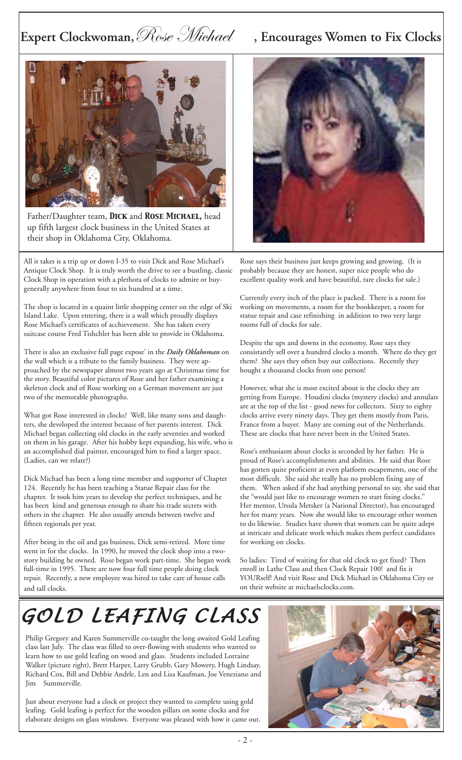# Expert Clockwoman, *Rose Michael* , Encourages Women to Fix Clocks



 Father/Daughter team, *Dick* and *Rose Michael,* head up fifth largest clock business in the United States at their shop in Oklahoma City, Oklahoma.

All it takes is a trip up or down I-35 to visit Dick and Rose Michael's Antique Clock Shop. It is truly worth the drive to see a bustling, classic Clock Shop in operation with a plethora of clocks to admire or buygenerally anywhere from four to six hundred at a time.

The shop is located in a quaint little shopping center on the edge of Ski Island Lake. Upon entering, there is a wall which proudly displays Rose Michael's certificates of acchievement. She has taken every suitcase course Fred Tishchler has been able to provide in Oklahoma.

There is also an exclusive full page expose' in the *Daily Oklahoman* on the wall which is a tribute to the family business. They were approached by the newspaper almost two years ago at Christmas time for the story. Beautiful color pictures of Rose and her father examining a skeleton clock and of Rose working on a German movement are just two of the memorable photographs.

What got Rose interested in clocks? Well, like many sons and daughters, she developed the interest because of her parents interest. Dick Michael began collecting old clocks in the early seventies and worked on them in his garage. After his hobby kept expanding, his wife, who is an accomplished dial painter, encouraged him to find a larger space. (Ladies, can we relate?)

Dick Michael has been a long time member and supporter of Chapter 124. Recently he has been teaching a Statue Repair class for the chapter. It took him years to develop the perfect techniques, and he has been kind and generous enough to share his trade secrets with others in the chapter. He also usually attends between twelve and fifteen regionals per year.

After being in the oil and gas business, Dick semi-retired. More time went in for the clocks. In 1990, he moved the clock shop into a twostory building he owned. Rose began work part-time. She began work full-time in 1995. There are now four full time people doing clock repair. Recently, a new employee was hired to take care of house calls and tall clocks.



Rose says their business just keeps growing and growing. (It is probably because they are honest, super nice people who do excellent quality work and have beautiful, rare clocks for sale.)

Currently every inch of the place is packed. There is a room for working on movements, a room for the bookkeeper, a room for statue repair and case refinishing in addition to two very large rooms full of clocks for sale.

Despite the ups and downs in the economy, Rose says they consistantly sell over a hundred clocks a month. Where do they get them? She says they often buy out collections. Recently they bought a thousand clocks from one person!

However, what she is most excited about is the clocks they are getting from Europe. Houdini clocks (mystery clocks) and annulars are at the top of the list - good news for collectors. Sixty to eighty clocks arrive every ninety days. They get them mostly from Paris, France from a buyer. Many are coming out of the Netherlands. These are clocks that have never been in the United States.

Rose's enthusiasm about clocks is seconded by her father. He is proud of Rose's accomplishments and abilities. He said that Rose has gotten quite proficient at even platform escapements, one of the most difficult. She said she really has no problem fixing any of them. When asked if she had anything personal to say, she said that she "would just like to encourage women to start fixing clocks." Her mentor, Ursula Metsker (a National Director), has encouraged her for many years. Now she would like to encourage other women to do likewise. Studies have shown that women can be quite adept at intricate and delicate work which makes them perfect candidates for working on clocks.

So ladies: Tired of waiting for that old clock to get fixed? Then enroll in Lathe Class and then Clock Repair 100! and fix it YOURself! And visit Rose and Dick Michael in Oklahoma City or on their website at michaelsclocks.com.

# *GOLD LEAFING CLASS GOLD LEAFING CLASS*

Philip Gregory and Karen Summerville co-taught the long awaited Gold Leafing class last July. The class was filled to over-flowing with students who wanted to learn how to use gold leafing on wood and glass. Students included Lorraine Walker (picture right), Brett Harper, Larry Grubb, Gary Mowery, Hugh Lindsay, Richard Cox, Bill and Debbie Andrle, Len and Lisa Kaufman, Joe Veneziano and Jim Summerville.

Just about everyone had a clock or project they wanted to complete using gold leafing. Gold leafing is perfect for the wooden pillars on some clocks and for elaborate designs on glass windows. Everyone was pleased with how it came out.

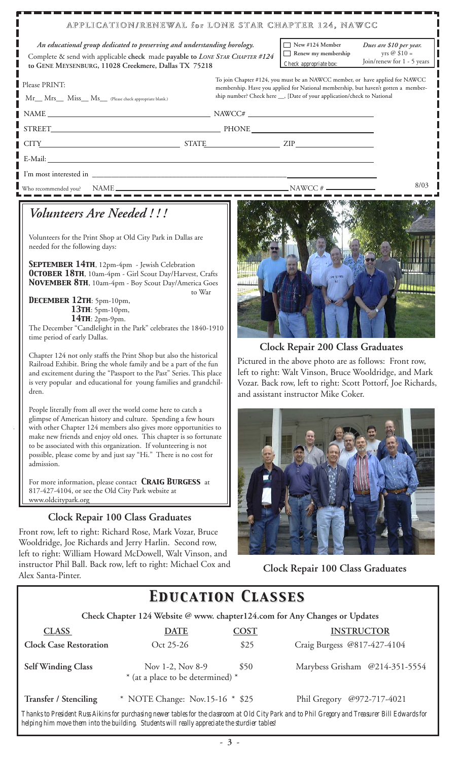#### **APPLICATION/RENEWAL for LONE STAR CHAPTER 124, NAWCC APPLICATION/RENEWAL for LONE STAR CHAPTER 124, NAWCC**

 Complete & send with applicable **check** made **payable to** *LONE STAR CHAPTER #124* **to GENE MEYSENBURG, 11028 Creekmere, Dallas TX 75218** *An educational group dedicated to preserving and understanding horology.*  $\Box$  New #124 Member

**Renew my membership**  *Check appropriate box:*

 *Dues are \$10 per year.*  $yrs @ 10 =$ Join/renew for 1 - 5 years

| Please PRINT:<br>Mr_ Mrs_ Miss_ Ms_ (Please check appropriate blank.) |  | To join Chapter #124, you must be an NAWCC member, or have applied for NAWCC<br>membership. Have you applied for National membership, but haven't gotten a member-<br>ship number? Check here ___, [Date of your application/check to National |  |  |
|-----------------------------------------------------------------------|--|------------------------------------------------------------------------------------------------------------------------------------------------------------------------------------------------------------------------------------------------|--|--|
|                                                                       |  | $NAME \_\_\_\_\_\_$                                                                                                                                                                                                                            |  |  |
|                                                                       |  |                                                                                                                                                                                                                                                |  |  |
|                                                                       |  | CITY STATE ZIP                                                                                                                                                                                                                                 |  |  |
|                                                                       |  |                                                                                                                                                                                                                                                |  |  |
|                                                                       |  |                                                                                                                                                                                                                                                |  |  |
| Who recommended you?                                                  |  |                                                                                                                                                                                                                                                |  |  |

### *Volunteers Are Needed ! ! !*

Volunteers for the Print Shop at Old City Park in Dallas are needed for the following days:

*September 14th*, 12pm-4pm - Jewish Celebration *October 18th*, 10am-4pm - Girl Scout Day/Harvest, Crafts *November 8th*, 10am-4pm - Boy Scout Day/America Goes to War

*December 12th*: 5pm-10pm, *13th*: 5pm-10pm,  *14th*: 2pm-9pm.

The December "Candlelight in the Park" celebrates the 1840-1910 time period of early Dallas.

Chapter 124 not only staffs the Print Shop but also the historical Railroad Exhibit. Bring the whole family and be a part of the fun and excitement during the "Passport to the Past" Series. This place is very popular and educational for young families and grandchildren.

People literally from all over the world come here to catch a glimpse of American history and culture. Spending a few hours with other Chapter 124 members also gives more opportunities to make new friends and enjoy old ones. This chapter is so fortunate to be associated with this organization. If volunteering is not possible, please come by and just say "Hi." There is no cost for admission.

For more information, please contact *Craig Burgess* at 817-427-4104, or see the Old City Park website at www.oldcitypark.org

#### **Clock Repair 100 Class Graduates**

Front row, left to right: Richard Rose, Mark Vozar, Bruce Wooldridge, Joe Richards and Jerry Harlin. Second row, left to right: William Howard McDowell, Walt Vinson, and instructor Phil Ball. Back row, left to right: Michael Cox and Alex Santa-Pinter. **Clock Repair 100 Class Graduates**



**Clock Repair 200 Class Graduates**

 Pictured in the above photo are as follows: Front row, left to right: Walt Vinson, Bruce Wooldridge, and Mark Vozar. Back row, left to right: Scott Pottorf, Joe Richards, and assistant instructor Mike Coker.



## *Education Classes Education Classes*

 **Check Chapter 124 Website @ www. chapter124.com for Any Changes or Updates**

| <b>CLASS</b>                  | <b>DATE</b>                                           | <b>COST</b> | <b>INSTRUCTOR</b>              |
|-------------------------------|-------------------------------------------------------|-------------|--------------------------------|
| <b>Clock Case Restoration</b> | Oct 25-26                                             | \$25        | Craig Burgess @817-427-4104    |
| <b>Self Winding Class</b>     | Nov 1-2, Nov 8-9<br>* (at a place to be determined) * | \$50        | Marybess Grisham @214-351-5554 |
| <b>Transfer / Stenciling</b>  | * NOTE Change: Nov.15-16 * \$25                       |             | Phil Gregory @972-717-4021     |

*Thanks to President Russ Aikins for purchasing newer tables for the classroom at Old City Park and to Phil Gregory and Treasurer Bill Edwards for helping him move them into the building. Students will really appreciate the sturdier tables!*